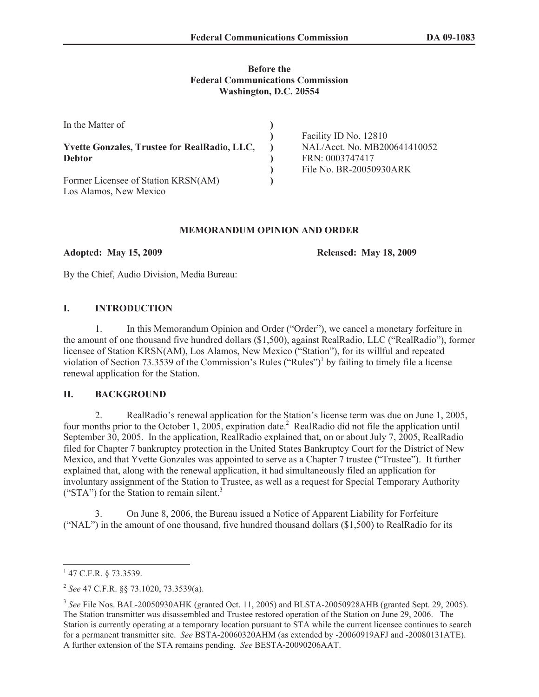### **Before the Federal Communications Commission Washington, D.C. 20554**

| In the Matter of                                    |                              |
|-----------------------------------------------------|------------------------------|
|                                                     | Facility ID No. 12810        |
| <b>Yvette Gonzales, Trustee for RealRadio, LLC,</b> | NAL/Acct. No. MB200641410052 |
| <b>Debtor</b>                                       | FRN: 0003747417              |
|                                                     | File No. BR-20050930ARK      |
| Former Licensee of Station KRSN(AM)                 |                              |
| Los Alamos, New Mexico                              |                              |

### **MEMORANDUM OPINION AND ORDER**

**Adopted: May 15, 2009 Released: May 18, 2009**

By the Chief, Audio Division, Media Bureau:

## **I. INTRODUCTION**

1. In this Memorandum Opinion and Order ("Order"), we cancel a monetary forfeiture in the amount of one thousand five hundred dollars (\$1,500), against RealRadio, LLC ("RealRadio"), former licensee of Station KRSN(AM), Los Alamos, New Mexico ("Station"), for its willful and repeated violation of Section 73.3539 of the Commission's Rules ("Rules")<sup>1</sup> by failing to timely file a license renewal application for the Station.

# **II. BACKGROUND**

2. RealRadio's renewal application for the Station's license term was due on June 1, 2005, four months prior to the October 1, 2005, expiration date.<sup>2</sup> RealRadio did not file the application until September 30, 2005. In the application, RealRadio explained that, on or about July 7, 2005, RealRadio filed for Chapter 7 bankruptcy protection in the United States Bankruptcy Court for the District of New Mexico, and that Yvette Gonzales was appointed to serve as a Chapter 7 trustee ("Trustee"). It further explained that, along with the renewal application, it had simultaneously filed an application for involuntary assignment of the Station to Trustee, as well as a request for Special Temporary Authority ("STA") for the Station to remain silent.<sup>3</sup>

3. On June 8, 2006, the Bureau issued a Notice of Apparent Liability for Forfeiture ("NAL") in the amount of one thousand, five hundred thousand dollars (\$1,500) to RealRadio for its

 $1$  47 C.F.R. § 73.3539.

<sup>2</sup> *See* 47 C.F.R. §§ 73.1020, 73.3539(a).

<sup>&</sup>lt;sup>3</sup> See File Nos. BAL-20050930AHK (granted Oct. 11, 2005) and BLSTA-20050928AHB (granted Sept. 29, 2005). The Station transmitter was disassembled and Trustee restored operation of the Station on June 29, 2006. The Station is currently operating at a temporary location pursuant to STA while the current licensee continues to search for a permanent transmitter site. *See* BSTA-20060320AHM (as extended by -20060919AFJ and -20080131ATE). A further extension of the STA remains pending. *See* BESTA-20090206AAT.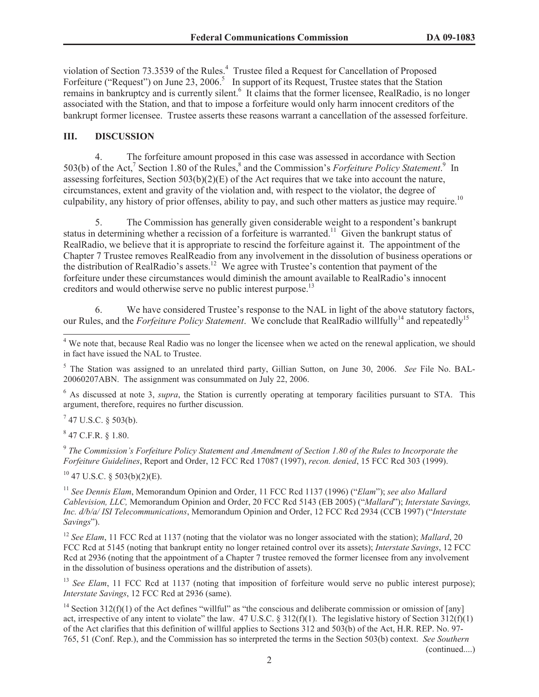violation of Section 73.3539 of the Rules.<sup>4</sup> Trustee filed a Request for Cancellation of Proposed Forfeiture ("Request") on June 23, 2006.<sup>5</sup> In support of its Request, Trustee states that the Station remains in bankruptcy and is currently silent.<sup>6</sup> It claims that the former licensee, RealRadio, is no longer associated with the Station, and that to impose a forfeiture would only harm innocent creditors of the bankrupt former licensee. Trustee asserts these reasons warrant a cancellation of the assessed forfeiture.

### **III. DISCUSSION**

4. The forfeiture amount proposed in this case was assessed in accordance with Section 503(b) of the Act,<sup>7</sup> Section 1.80 of the Rules,<sup>8</sup> and the Commission's *Forfeiture Policy Statement*.<sup>9</sup> In assessing forfeitures, Section 503(b)(2)(E) of the Act requires that we take into account the nature, circumstances, extent and gravity of the violation and, with respect to the violator, the degree of culpability, any history of prior offenses, ability to pay, and such other matters as justice may require.<sup>10</sup>

5. The Commission has generally given considerable weight to a respondent's bankrupt status in determining whether a recission of a forfeiture is warranted.<sup>11</sup> Given the bankrupt status of RealRadio, we believe that it is appropriate to rescind the forfeiture against it. The appointment of the Chapter 7 Trustee removes RealReadio from any involvement in the dissolution of business operations or the distribution of RealRadio's assets.<sup>12</sup> We agree with Trustee's contention that payment of the forfeiture under these circumstances would diminish the amount available to RealRadio's innocent creditors and would otherwise serve no public interest purpose.<sup>13</sup>

6. We have considered Trustee's response to the NAL in light of the above statutory factors, our Rules, and the *Forfeiture Policy Statement*. We conclude that RealRadio willfully<sup>14</sup> and repeatedly<sup>15</sup>

<sup>5</sup> The Station was assigned to an unrelated third party, Gillian Sutton, on June 30, 2006. *See* File No. BAL-20060207ABN. The assignment was consummated on July 22, 2006.

<sup>6</sup> As discussed at note 3, *supra*, the Station is currently operating at temporary facilities pursuant to STA. This argument, therefore, requires no further discussion.

 $7$  47 U.S.C. § 503(b).

 $8$  47 C.F.R. § 1.80.

9 *The Commission's Forfeiture Policy Statement and Amendment of Section 1.80 of the Rules to Incorporate the Forfeiture Guidelines*, Report and Order, 12 FCC Rcd 17087 (1997), *recon. denied*, 15 FCC Rcd 303 (1999).

 $10$  47 U.S.C. § 503(b)(2)(E).

<sup>11</sup> *See Dennis Elam*, Memorandum Opinion and Order, 11 FCC Rcd 1137 (1996) ("*Elam*"); *see also Mallard Cablevision, LLC,* Memorandum Opinion and Order, 20 FCC Rcd 5143 (EB 2005) ("*Mallard*"); *Interstate Savings, Inc. d/b/a/ ISI Telecommunications*, Memorandum Opinion and Order, 12 FCC Rcd 2934 (CCB 1997) ("*Interstate Savings*").

<sup>12</sup> *See Elam*, 11 FCC Rcd at 1137 (noting that the violator was no longer associated with the station); *Mallard*, 20 FCC Rcd at 5145 (noting that bankrupt entity no longer retained control over its assets); *Interstate Savings*, 12 FCC Rcd at 2936 (noting that the appointment of a Chapter 7 trustee removed the former licensee from any involvement in the dissolution of business operations and the distribution of assets).

<sup>13</sup> *See Elam*, 11 FCC Rcd at 1137 (noting that imposition of forfeiture would serve no public interest purpose); *Interstate Savings*, 12 FCC Rcd at 2936 (same).

<sup>14</sup> Section 312(f)(1) of the Act defines "willful" as "the conscious and deliberate commission or omission of [any] act, irrespective of any intent to violate" the law. 47 U.S.C. § 312(f)(1). The legislative history of Section  $312(f)(1)$ of the Act clarifies that this definition of willful applies to Sections 312 and 503(b) of the Act, H.R. REP. No. 97- 765, 51 (Conf. Rep.), and the Commission has so interpreted the terms in the Section 503(b) context. *See Southern* 

(continued....)

<sup>&</sup>lt;sup>4</sup> We note that, because Real Radio was no longer the licensee when we acted on the renewal application, we should in fact have issued the NAL to Trustee.